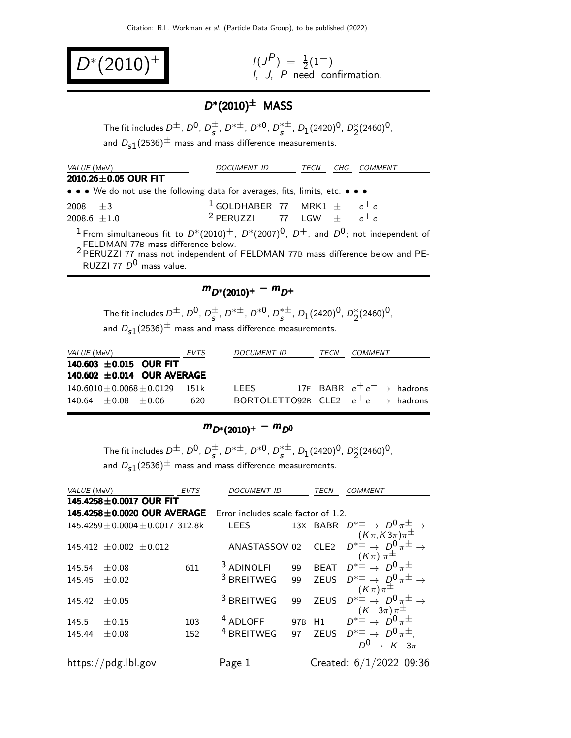$(2010)^{\pm}$   $I(J^P) = \frac{1}{2}(1^{-})$ I, J, P need confirmation.

### $D^*(2010)^{\pm}$  MASS

The fit includes  $D^{\pm}$ ,  $D^{0}$ ,  $D^{\pm}$  $\frac{\pm}{s}$ , D<sup>\* $\pm$ </sup>, D<sup>\*0</sup>, D<sup>\* $\pm$ </sup>  $_s^{*\pm}$ ,  $D_1(2420)^0$ ,  $D_2^*(2460)^0$ , and  $D_{s1}(2536)^{\pm}$  mass and mass difference measurements.

| <i>VALUE</i> (MeV)                                                                                                                                | DOCUMENT ID                                   | TECN | CHG | <i>COMMENT</i> |
|---------------------------------------------------------------------------------------------------------------------------------------------------|-----------------------------------------------|------|-----|----------------|
| 2010.26±0.05 OUR FIT                                                                                                                              |                                               |      |     |                |
| • • • We do not use the following data for averages, fits, limits, etc. • • •                                                                     |                                               |      |     |                |
| 2008 $\pm 3$                                                                                                                                      | <sup>1</sup> GOLDHABER 77 MRK1 $\pm$ $e^+e^-$ |      |     |                |
| 2008.6 $\pm 1.0$                                                                                                                                  | <sup>2</sup> PERUZZI 77 LGW + $e^+e^-$        |      |     |                |
| <sup>1</sup> From simultaneous fit to $D^*(2010)^+$ , $D^*(2007)^0$ , $D^+$ , and $D^0$ ; not independent of<br>FELDMAN 77R mass difference helow |                                               |      |     |                |

FELDMAN 77B mass difference below. 2 PERUZZI 77 mass not independent of FELDMAN 77<sup>B</sup> mass difference below and PE-RUZZI 77  $D^0$  mass value.

## $m_{D^*(2010)^+} - m_{D^+}$

The fit includes  $D^{\pm}$ ,  $D^{0}$ ,  $D^{\pm}$  $\frac{\pm}{s}$ , D<sup>\* $\pm$ </sup>, D<sup>\*0</sup>, D<sup>\* $\pm$ </sup>  $_s^{*\pm}$ ,  $D_1(2420)^0$ ,  $D_2^*(2460)^0$ , and  $D_{s1}(2536)^{\pm}$  mass and mass difference measurements.

| VALUE (MeV)                           | EVTS |        | <b>DOCUMENT ID</b>                              | TECN | <i>COMMENT</i>                        |  |
|---------------------------------------|------|--------|-------------------------------------------------|------|---------------------------------------|--|
| 140.603 $\pm$ 0.015 OUR FIT           |      |        |                                                 |      |                                       |  |
| 140.602 $\pm$ 0.014 OUR AVERAGE       |      |        |                                                 |      |                                       |  |
| $140.6010 \pm 0.0068 \pm 0.0129$ 151k |      | LEES L |                                                 |      | 17F BABR $e^+e^- \rightarrow$ hadrons |  |
| $140.64 \pm 0.08 \pm 0.06$            | 620  |        | BORTOLETTO92B CLE2 $e^+e^- \rightarrow$ hadrons |      |                                       |  |

# $m_{D^*(2010)^+} - m_{D^0}$

The fit includes  $D^{\pm}$ ,  $D^{0}$ ,  $D^{\pm}$  $\frac{\pm}{s}$ , D<sup>\* $\pm$ </sup>, D<sup>\*0</sup>, D<sup>\* $\pm$ </sup>  $_s^{*\pm}$ ,  $D_1(2420)^0$ ,  $D_2^*(2460)^0$ , and  $D_{s1}(2536)^{\pm}$  mass and mass difference measurements.

| VALUE (MeV) |                                         | <b>EVTS</b> | <i>DOCUMENT ID</i>                  |    | TECN             | <i>COMMENT</i>                                                                                                                                                                            |
|-------------|-----------------------------------------|-------------|-------------------------------------|----|------------------|-------------------------------------------------------------------------------------------------------------------------------------------------------------------------------------------|
|             | 145.4258±0.0017 OUR FIT                 |             |                                     |    |                  |                                                                                                                                                                                           |
|             | 145.4258±0.0020 OUR AVERAGE             |             | Error includes scale factor of 1.2. |    |                  |                                                                                                                                                                                           |
|             | $145.4259 \pm 0.0004 \pm 0.0017$ 312.8k |             | LEES                                |    |                  | 13X BABR $D^{*\pm} \rightarrow D^0 \pi^{\pm} \rightarrow$                                                                                                                                 |
|             | $145.412 \pm 0.002 \pm 0.012$           |             | ANASTASSOV 02                       |    | CLE <sub>2</sub> | $(A\pi,K3\pi)\pi^{\pm}$<br>$D^*\pm \rightarrow D^0\pi^{\pm}$<br>$(A\pi)\pi^{\pm}$<br>$D^*\pm \rightarrow D^0\pi^{\pm}$                                                                    |
| 145.54      | $\pm 0.08$                              | 611         | <sup>3</sup> ADINOLFI 99 BEAT       |    |                  |                                                                                                                                                                                           |
| 145.45      | $\pm 0.02$                              |             | $3$ BREITWEG                        |    |                  |                                                                                                                                                                                           |
| 145.42      | $\pm 0.05$                              |             | <sup>3</sup> BREITWEG               |    |                  | 99 ZEUS $D^* \pm \rightarrow D^0 \pi^{\pm}$<br>99 ZEUS $D^{*\pm} \rightarrow D^0 \pi^{\pm}$<br>97B H1 $D^{*\pm} \rightarrow D^0 \pi^{\pm}$<br>97B H1 $D^{*\pm} \rightarrow D^0 \pi^{\pm}$ |
| 145.5       | $\pm$ 0.15                              | 103         | <sup>4</sup> ADLOFF                 |    |                  |                                                                                                                                                                                           |
| 145.44      | $\pm 0.08$                              | 152         | <sup>4</sup> BREITWEG               | 97 |                  | ZEUS $D^{*\pm} \rightarrow D^0 \pi^{\pm}$ .<br>$D^0 \rightarrow K^- 3\pi$                                                                                                                 |
|             | https://pdg.lbl.gov                     |             | Page 1                              |    |                  | Created: $6/1/2022$ 09:36                                                                                                                                                                 |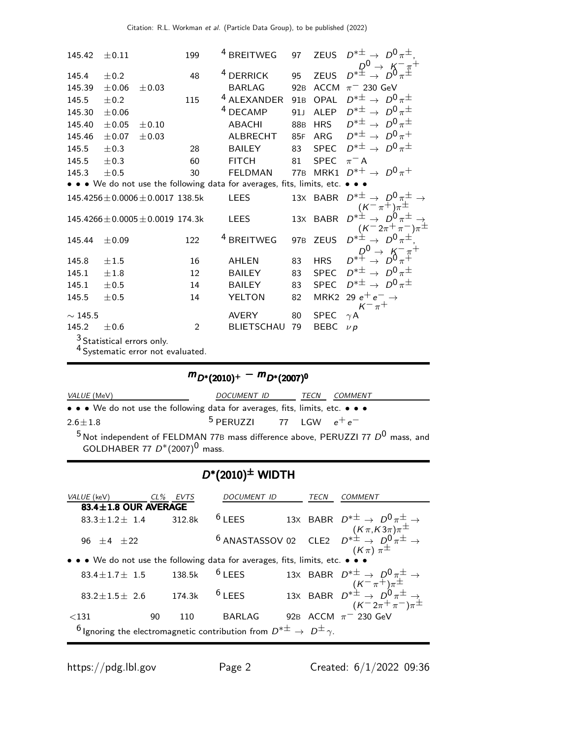| <sup>4</sup> DERRICK<br><b>ZFUS</b><br>±0.2<br>48<br>95<br>145.4<br>92 <sub>B</sub><br><b>ACCM</b><br>145.39<br>$\pm 0.06$<br><b>BARLAG</b><br>$\pi$ <sup>-</sup> 230 GeV<br>$\pm 0.03$<br>$D^{*\pm} \rightarrow D^0 \pi^{\pm}$<br><sup>4</sup> ALEXANDER<br><b>OPAL</b><br>91 <sub>B</sub><br>145.5<br>±0.2<br>115<br>$D^{*\pm} \rightarrow D^0 \pi^{\pm}$<br><sup>4</sup> DECAMP<br><b>ALEP</b><br>91 <sub>J</sub><br>±0.06<br>$D^{*\pm} \rightarrow D^0 \pi^{\pm}$<br><b>ABACHI</b><br><b>HRS</b><br>±0.05<br>88 <sub>B</sub><br>±0.10<br>$D^{*\pm} \rightarrow D^0 \pi^+$<br>ARG<br>85F<br>±0.07<br>ALBRECHT<br>$\pm 0.03$<br>$D^{*\pm} \rightarrow D^0 \pi^{\pm}$<br><b>SPEC</b><br>83<br>145.5<br>±0.3<br><b>BAILEY</b><br>28<br><b>SPEC</b><br>145.5<br>$\pm 0.3$<br><b>FITCH</b><br>81<br>60<br>$\pi^- A$<br>MRK1 $D^{*+} \rightarrow D^0 \pi^+$<br>77 <sub>B</sub><br>145.3<br>±0.5<br><b>FELDMAN</b><br>30<br>• • • We do not use the following data for averages, fits, limits, etc. • • •<br>13X BABR $D^{*\pm} \rightarrow D^0$<br>145.4256 $\pm$ 0.0006 $\pm$ 0.0017 138.5k<br><b>LEES</b><br>$(\mathcal{K}^-\,\pi^+)\pi^\pm$<br><b>BABR</b><br><b>LEES</b><br>13x<br>$145.4266 \pm 0.0005 \pm 0.0019$ 174.3k<br>$(K^-2\pi^+\pi^-)\pi^{\pm}$<br>$D^{*\pm} \rightarrow D^0 \pi^{\pm}$<br><sup>4</sup> BREITWEG<br><b>ZEUS</b><br>97 <sub>B</sub><br>122<br>145.44<br>±0.09<br>$D^0$<br>$D^*$ <sup>+</sup><br><b>HRS</b><br>16<br>AHLEN<br>83<br>145.8<br>±1.5<br>$D^{*\pm} \rightarrow D^0 \pi^{\pm}$<br><b>SPEC</b><br>145.1<br><b>BAILEY</b><br>83<br>$\pm 1.8$<br>12<br>$D^{*\pm} \rightarrow D^0 \pi^{\pm}$<br><b>SPEC</b><br>145.1<br>±0.5<br><b>BAILEY</b><br>83<br>14<br>29 $e^+e^- \rightarrow$<br>MRK <sub>2</sub><br>YELTON<br>82<br>145.5<br>±0.5<br>14<br><b>AVERY</b><br>80<br><b>SPEC</b><br>$\gamma$ A | 145.42       | $\pm 0.11$ | 199            | <sup>4</sup> BREITWEG | 97 | <b>ZEUS</b> | $D^{*\pm} \rightarrow D^0 \pi^{\pm}$                     |
|------------------------------------------------------------------------------------------------------------------------------------------------------------------------------------------------------------------------------------------------------------------------------------------------------------------------------------------------------------------------------------------------------------------------------------------------------------------------------------------------------------------------------------------------------------------------------------------------------------------------------------------------------------------------------------------------------------------------------------------------------------------------------------------------------------------------------------------------------------------------------------------------------------------------------------------------------------------------------------------------------------------------------------------------------------------------------------------------------------------------------------------------------------------------------------------------------------------------------------------------------------------------------------------------------------------------------------------------------------------------------------------------------------------------------------------------------------------------------------------------------------------------------------------------------------------------------------------------------------------------------------------------------------------------------------------------------------------------------------------------------------------------------------------------------------------------------------|--------------|------------|----------------|-----------------------|----|-------------|----------------------------------------------------------|
|                                                                                                                                                                                                                                                                                                                                                                                                                                                                                                                                                                                                                                                                                                                                                                                                                                                                                                                                                                                                                                                                                                                                                                                                                                                                                                                                                                                                                                                                                                                                                                                                                                                                                                                                                                                                                                    |              |            |                |                       |    |             | $\mu_1^0 \rightarrow K^- \pi^+ \pm \Delta \mu_0^0 \pi^+$ |
|                                                                                                                                                                                                                                                                                                                                                                                                                                                                                                                                                                                                                                                                                                                                                                                                                                                                                                                                                                                                                                                                                                                                                                                                                                                                                                                                                                                                                                                                                                                                                                                                                                                                                                                                                                                                                                    |              |            |                |                       |    |             |                                                          |
|                                                                                                                                                                                                                                                                                                                                                                                                                                                                                                                                                                                                                                                                                                                                                                                                                                                                                                                                                                                                                                                                                                                                                                                                                                                                                                                                                                                                                                                                                                                                                                                                                                                                                                                                                                                                                                    |              |            |                |                       |    |             |                                                          |
|                                                                                                                                                                                                                                                                                                                                                                                                                                                                                                                                                                                                                                                                                                                                                                                                                                                                                                                                                                                                                                                                                                                                                                                                                                                                                                                                                                                                                                                                                                                                                                                                                                                                                                                                                                                                                                    |              |            |                |                       |    |             |                                                          |
|                                                                                                                                                                                                                                                                                                                                                                                                                                                                                                                                                                                                                                                                                                                                                                                                                                                                                                                                                                                                                                                                                                                                                                                                                                                                                                                                                                                                                                                                                                                                                                                                                                                                                                                                                                                                                                    | 145.30       |            |                |                       |    |             |                                                          |
|                                                                                                                                                                                                                                                                                                                                                                                                                                                                                                                                                                                                                                                                                                                                                                                                                                                                                                                                                                                                                                                                                                                                                                                                                                                                                                                                                                                                                                                                                                                                                                                                                                                                                                                                                                                                                                    | 145.40       |            |                |                       |    |             |                                                          |
|                                                                                                                                                                                                                                                                                                                                                                                                                                                                                                                                                                                                                                                                                                                                                                                                                                                                                                                                                                                                                                                                                                                                                                                                                                                                                                                                                                                                                                                                                                                                                                                                                                                                                                                                                                                                                                    | 145.46       |            |                |                       |    |             |                                                          |
|                                                                                                                                                                                                                                                                                                                                                                                                                                                                                                                                                                                                                                                                                                                                                                                                                                                                                                                                                                                                                                                                                                                                                                                                                                                                                                                                                                                                                                                                                                                                                                                                                                                                                                                                                                                                                                    |              |            |                |                       |    |             |                                                          |
|                                                                                                                                                                                                                                                                                                                                                                                                                                                                                                                                                                                                                                                                                                                                                                                                                                                                                                                                                                                                                                                                                                                                                                                                                                                                                                                                                                                                                                                                                                                                                                                                                                                                                                                                                                                                                                    |              |            |                |                       |    |             |                                                          |
|                                                                                                                                                                                                                                                                                                                                                                                                                                                                                                                                                                                                                                                                                                                                                                                                                                                                                                                                                                                                                                                                                                                                                                                                                                                                                                                                                                                                                                                                                                                                                                                                                                                                                                                                                                                                                                    |              |            |                |                       |    |             |                                                          |
|                                                                                                                                                                                                                                                                                                                                                                                                                                                                                                                                                                                                                                                                                                                                                                                                                                                                                                                                                                                                                                                                                                                                                                                                                                                                                                                                                                                                                                                                                                                                                                                                                                                                                                                                                                                                                                    |              |            |                |                       |    |             |                                                          |
|                                                                                                                                                                                                                                                                                                                                                                                                                                                                                                                                                                                                                                                                                                                                                                                                                                                                                                                                                                                                                                                                                                                                                                                                                                                                                                                                                                                                                                                                                                                                                                                                                                                                                                                                                                                                                                    |              |            |                |                       |    |             |                                                          |
|                                                                                                                                                                                                                                                                                                                                                                                                                                                                                                                                                                                                                                                                                                                                                                                                                                                                                                                                                                                                                                                                                                                                                                                                                                                                                                                                                                                                                                                                                                                                                                                                                                                                                                                                                                                                                                    |              |            |                |                       |    |             |                                                          |
|                                                                                                                                                                                                                                                                                                                                                                                                                                                                                                                                                                                                                                                                                                                                                                                                                                                                                                                                                                                                                                                                                                                                                                                                                                                                                                                                                                                                                                                                                                                                                                                                                                                                                                                                                                                                                                    |              |            |                |                       |    |             |                                                          |
|                                                                                                                                                                                                                                                                                                                                                                                                                                                                                                                                                                                                                                                                                                                                                                                                                                                                                                                                                                                                                                                                                                                                                                                                                                                                                                                                                                                                                                                                                                                                                                                                                                                                                                                                                                                                                                    |              |            |                |                       |    |             |                                                          |
|                                                                                                                                                                                                                                                                                                                                                                                                                                                                                                                                                                                                                                                                                                                                                                                                                                                                                                                                                                                                                                                                                                                                                                                                                                                                                                                                                                                                                                                                                                                                                                                                                                                                                                                                                                                                                                    |              |            |                |                       |    |             |                                                          |
|                                                                                                                                                                                                                                                                                                                                                                                                                                                                                                                                                                                                                                                                                                                                                                                                                                                                                                                                                                                                                                                                                                                                                                                                                                                                                                                                                                                                                                                                                                                                                                                                                                                                                                                                                                                                                                    |              |            |                |                       |    |             |                                                          |
|                                                                                                                                                                                                                                                                                                                                                                                                                                                                                                                                                                                                                                                                                                                                                                                                                                                                                                                                                                                                                                                                                                                                                                                                                                                                                                                                                                                                                                                                                                                                                                                                                                                                                                                                                                                                                                    |              |            |                |                       |    |             |                                                          |
|                                                                                                                                                                                                                                                                                                                                                                                                                                                                                                                                                                                                                                                                                                                                                                                                                                                                                                                                                                                                                                                                                                                                                                                                                                                                                                                                                                                                                                                                                                                                                                                                                                                                                                                                                                                                                                    | $\sim$ 145.5 |            |                |                       |    |             |                                                          |
|                                                                                                                                                                                                                                                                                                                                                                                                                                                                                                                                                                                                                                                                                                                                                                                                                                                                                                                                                                                                                                                                                                                                                                                                                                                                                                                                                                                                                                                                                                                                                                                                                                                                                                                                                                                                                                    | 145.2        | $\pm 0.6$  | $\overline{2}$ | <b>BLIETSCHAU</b>     | 79 | <b>BEBC</b> | $\nu p$                                                  |
| $3$ Statistical errors only.                                                                                                                                                                                                                                                                                                                                                                                                                                                                                                                                                                                                                                                                                                                                                                                                                                                                                                                                                                                                                                                                                                                                                                                                                                                                                                                                                                                                                                                                                                                                                                                                                                                                                                                                                                                                       |              |            |                |                       |    |             |                                                          |
| <sup>4</sup> Systematic error not evaluated.                                                                                                                                                                                                                                                                                                                                                                                                                                                                                                                                                                                                                                                                                                                                                                                                                                                                                                                                                                                                                                                                                                                                                                                                                                                                                                                                                                                                                                                                                                                                                                                                                                                                                                                                                                                       |              |            |                |                       |    |             |                                                          |

| $m_{D^*(2010)^+} - m_{D^*(2007)^0}$                                                  |                                      |                        |  |  |  |  |
|--------------------------------------------------------------------------------------|--------------------------------------|------------------------|--|--|--|--|
| <i>VALUE</i> (MeV)                                                                   | DOCUMENT ID                          | TECN<br><i>COMMENT</i> |  |  |  |  |
| • • • We do not use the following data for averages, fits, limits, etc. • • •        |                                      |                        |  |  |  |  |
| $2.6 \pm 1.8$                                                                        | <sup>5</sup> PERUZZI 77 LGW $e^+e^-$ |                        |  |  |  |  |
| $5$ Not independent of FELDMAN 77B mass difference above, PERUZZI 77 $D^0$ mass, and |                                      |                        |  |  |  |  |
| GOLDHABER 77 $D^*(2007)^0$ mass.                                                     |                                      |                        |  |  |  |  |

### $D^*(2010)^\pm$  WIDTH

| VALUE (keV)                | $CL\%$ | EVTS   | <i>DOCUMENT ID</i>                                                                                  | TECN | COMMENT                                                                                                                                                                                   |
|----------------------------|--------|--------|-----------------------------------------------------------------------------------------------------|------|-------------------------------------------------------------------------------------------------------------------------------------------------------------------------------------------|
| 83.4 $\pm$ 1.8 OUR AVERAGE |        |        |                                                                                                     |      |                                                                                                                                                                                           |
| $83.3 \pm 1.2 \pm 1.4$     |        | 312.8k |                                                                                                     |      |                                                                                                                                                                                           |
| 96 $\pm 4$ $\pm 22$        |        |        |                                                                                                     |      | 6 LEES 13X BABR $D^*\pm \rightarrow D^0 \pi^{\pm} \rightarrow$<br>$(K \pi, K3\pi)\pi^{\pm}$<br>6 ANASTASSOV 02 CLE2 $D^*\pm \rightarrow D^0 \pi^{\pm} \rightarrow$<br>$(K \pi) \pi^{\pm}$ |
|                            |        |        | • • • We do not use the following data for averages, fits, limits, etc. • • •                       |      |                                                                                                                                                                                           |
| 83.4 $\pm$ 1.7 $\pm$ 1.5   |        | 138.5k | $6$ LEES                                                                                            |      |                                                                                                                                                                                           |
| $83.2 \pm 1.5 \pm 2.6$     |        | 174.3k | $6$ LEES                                                                                            |      | 13x BABR $D^* \pm \rightarrow D^0 \pi^{\pm} \rightarrow$<br>$(K^- \pi^+) \pi^{\pm}$<br>13x BABR $D^{* \pm} \rightarrow D^0 \pi^{\pm} \rightarrow$<br>$(K^- 2 \pi^+ \pi^-) \pi^{\pm}$      |
| $<$ 131                    | 90     | 110    | BARLAG                                                                                              |      | 92B ACCM $\pi$ <sup>-</sup> 230 GeV                                                                                                                                                       |
|                            |        |        | <sup>6</sup> Ignoring the electromagnetic contribution from $D^{*\pm} \rightarrow D^{\pm} \gamma$ . |      |                                                                                                                                                                                           |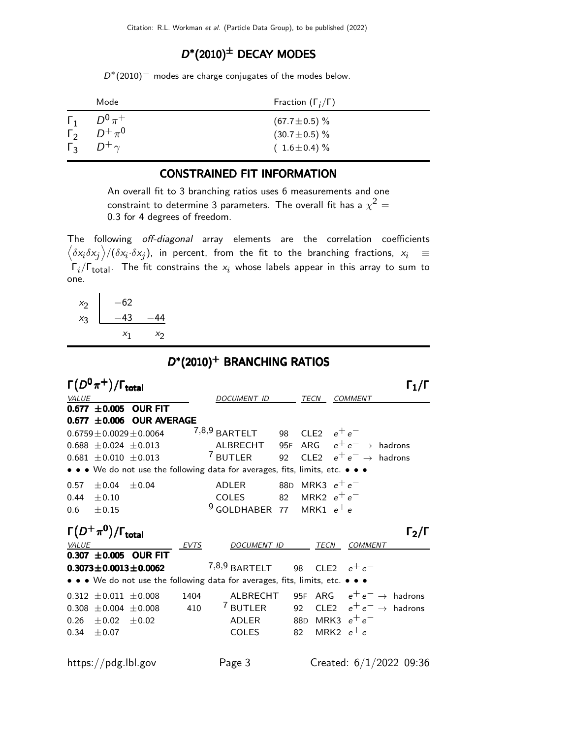### $D^*(2010)^{\pm}$  DECAY MODES

 $D*(2010)^-$  modes are charge conjugates of the modes below.

|            | Mode                            | Fraction $(\Gamma_i/\Gamma)$ |
|------------|---------------------------------|------------------------------|
| $\Gamma_1$ | $D^0\pi^+$                      | $(67.7 \pm 0.5)\%$           |
|            | $\Gamma_2^{\dagger}$ $D^+\pi^0$ | $(30.7 \pm 0.5)\%$           |
| $\Gamma$ 3 | $D^+\gamma$                     | $(1.6 \pm 0.4)\%$            |

#### CONSTRAINED FIT INFORMATION

An overall fit to 3 branching ratios uses 6 measurements and one constraint to determine 3 parameters. The overall fit has a  $\chi^2 =$ 0.3 for 4 degrees of freedom.

The following off-diagonal array elements are the correlation coefficients  $\left<\delta x_i\delta x_j\right>$ / $(\delta x_i\cdot\delta x_j)$ , in percent, from the fit to the branching fractions,  $x_i$   $\;\equiv$  $\Gamma_i/\Gamma_{\rm total}$ . The fit constrains the  $x_i$  whose labels appear in this array to sum to one.

 $x_2$  –62  $x_3$  -43 -44  $x_1$  $x_2$ 

### D ∗ (2010)<sup>+</sup> BRANCHING RATIOS

| $\Gamma(D^0\pi^+) / \Gamma_{\rm total}$                                       |                                         | $\mathsf{\Gamma}_1/\mathsf{\Gamma}$                      |
|-------------------------------------------------------------------------------|-----------------------------------------|----------------------------------------------------------|
| <i>VALUE</i>                                                                  | DOCUMENT ID                             | TECN COMMENT                                             |
| $0.677 \pm 0.005$ OUR FIT                                                     |                                         |                                                          |
| $0.677 \pm 0.006$ OUR AVERAGE                                                 |                                         |                                                          |
| $0.6759 \pm 0.0029 \pm 0.0064$                                                | $7,8,9$ BARTELT                         | 98 CLE2 $e^+e^-$                                         |
| $0.688 \pm 0.024 \pm 0.013$                                                   |                                         | ALBRECHT 95F ARG $e^+e^- \rightarrow$ hadrons            |
| $0.681 \pm 0.010 \pm 0.013$                                                   |                                         | <sup>7</sup> BUTLER 92 CLE2 $e^+e^- \rightarrow$ hadrons |
| • • • We do not use the following data for averages, fits, limits, etc. • • • |                                         |                                                          |
| $0.57 \pm 0.04$<br>±0.04                                                      | ADLER                                   | 88D MRK3 $e^+e^-$                                        |
| $0.44 \pm 0.10$                                                               | COLES 82 MRK2 $e^+e^-$                  |                                                          |
| 0.6<br>$\pm 0.15$                                                             | <sup>9</sup> GOLDHABER 77 MRK1 $e^+e^-$ |                                                          |
| $\Gamma(D^+\pi^0)/\Gamma_{\rm total}$                                         |                                         | $\Gamma_2/\Gamma$                                        |
| VALUE<br>EVTS                                                                 | DOCUMENT ID                             | TECN COMMENT                                             |
| $0.307 \pm 0.005$ OUR FIT                                                     |                                         |                                                          |
| $0.3073 \pm 0.0013 \pm 0.0062$                                                | 7,8,9 BARTELT 98 CLE2 $e^+e^-$          |                                                          |
| • • • We do not use the following data for averages, fits, limits, etc. • • • |                                         |                                                          |
| $0.312 \pm 0.011 \pm 0.008$<br>1404                                           | ALBRECHT                                | 95F ARG $e^+e^- \rightarrow$ hadrons                     |
| 410<br>$0.308 \pm 0.004 \pm 0.008$                                            | <sup>7</sup> BUTLER                     | 92 CLE2 $e^+e^- \rightarrow$ hadrons                     |
| $0.26 \pm 0.02 \pm 0.02$                                                      | ADLER                                   | 88D MRK3 $e^+e^-$                                        |
| $0.34 \pm 0.07$                                                               | <b>COLES</b>                            | MRK2 $e^+e^-$<br>82                                      |
|                                                                               |                                         |                                                          |
| https://pdg.lbl.gov                                                           | Page 3                                  | Created: $6/1/2022$ 09:36                                |